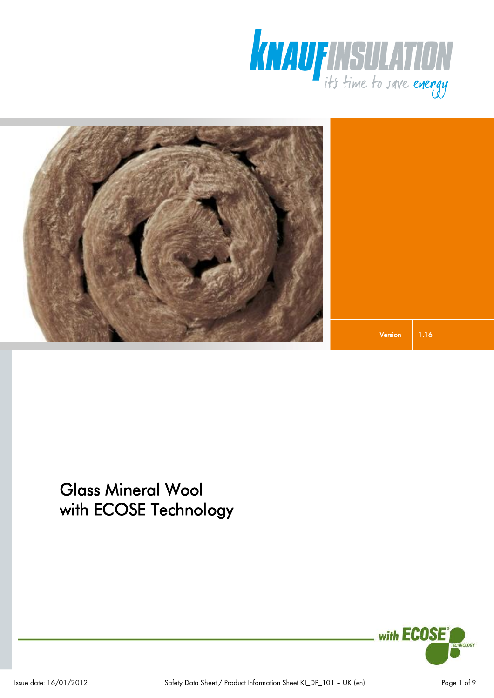



1.16 Version

# Glass Mineral Wool with ECOSE Technology

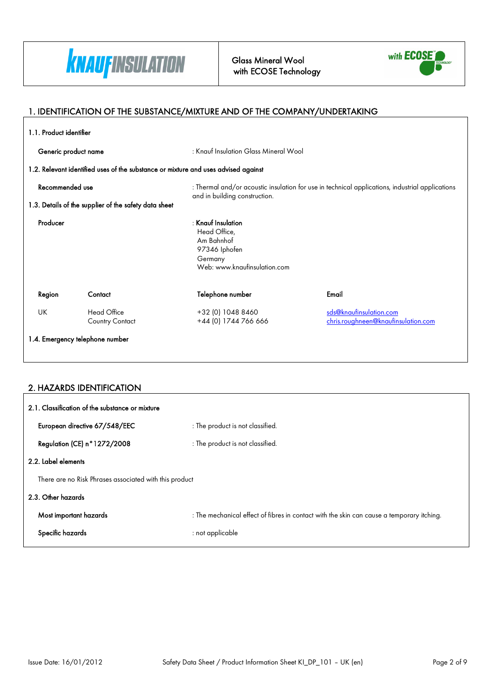

Glass Mineral Wool with ECOSE Technology



٦

### 1. IDENTIFICATION OF THE SUBSTANCE/MIXTURE AND OF THE COMPANY/UNDERTAKING

| 1.1. Product identifier         |                                                       |                                                                                                                |                                                                                                 |  |
|---------------------------------|-------------------------------------------------------|----------------------------------------------------------------------------------------------------------------|-------------------------------------------------------------------------------------------------|--|
| Generic product name            |                                                       | : Knauf Insulation Glass Mineral Wool                                                                          |                                                                                                 |  |
|                                 |                                                       | 1.2. Relevant identified uses of the substance or mixture and uses advised against                             |                                                                                                 |  |
| Recommended use                 |                                                       | and in building construction.                                                                                  | : Thermal and/or acoustic insulation for use in technical applications, industrial applications |  |
|                                 | 1.3. Details of the supplier of the safety data sheet |                                                                                                                |                                                                                                 |  |
| Producer                        |                                                       | $:$ Knauf Insulation<br>Head Office,<br>Am Bahnhof<br>97346 Iphofen<br>Germany<br>Web: www.knaufinsulation.com |                                                                                                 |  |
| Region                          | Contact                                               | Telephone number                                                                                               | Email                                                                                           |  |
| UK                              | Head Office<br><b>Country Contact</b>                 | +32 (0) 1048 8460<br>+44 (0) 1744 766 666                                                                      | sds@knaufinsulation.com<br>chris.roughneen@knaufinsulation.com                                  |  |
| 1.4. Emergency telephone number |                                                       |                                                                                                                |                                                                                                 |  |
|                                 |                                                       |                                                                                                                |                                                                                                 |  |

### 2. HAZARDS IDENTIFICATION

| 2.1. Classification of the substance or mixture        |                                                                                           |  |
|--------------------------------------------------------|-------------------------------------------------------------------------------------------|--|
| European directive 67/548/EEC                          | : The product is not classified.                                                          |  |
| Regulation (CE) n°1272/2008                            | : The product is not classified.                                                          |  |
| 2.2. Label elements                                    |                                                                                           |  |
| There are no Risk Phrases associated with this product |                                                                                           |  |
| 2.3. Other hazards                                     |                                                                                           |  |
| Most important hazards                                 | : The mechanical effect of fibres in contact with the skin can cause a temporary itching. |  |
| Specific hazards                                       | : not applicable                                                                          |  |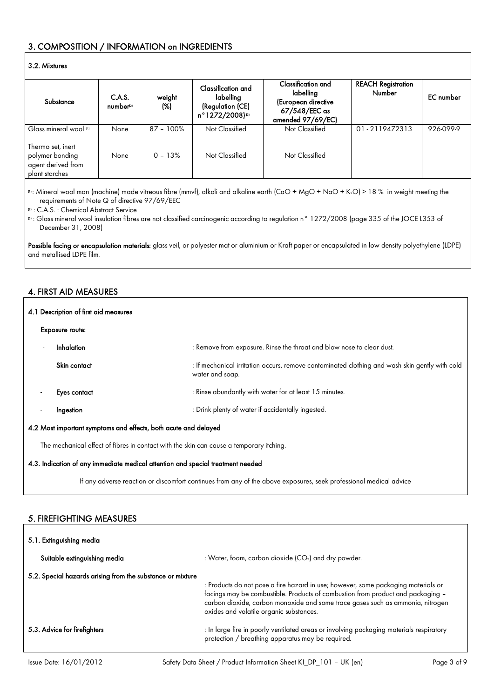### 3. COMPOSITION / INFORMATION on INGREDIENTS

#### 3.2. Mixtures

| Substance                                                                    | C.A.S.<br>number <sup>21</sup> | weight<br>(%) | Classification and<br>labelling<br>(Regulation (CE)<br>n°1272/2008)® | Classification and<br>labelling<br>(European directive<br>67/548/EEC as<br>amended 97/69/EC) | <b>REACH Registration</b><br><b>Number</b> | <b>EC</b> number |
|------------------------------------------------------------------------------|--------------------------------|---------------|----------------------------------------------------------------------|----------------------------------------------------------------------------------------------|--------------------------------------------|------------------|
| Glass mineral wool [1]                                                       | None                           | $87 - 100\%$  | Not Classified                                                       | Not Classified                                                                               | 01-2119472313                              | 926-099-9        |
| Thermo set, inert<br>polymer bonding<br>agent derived from<br>plant starches | None                           | $0 - 13%$     | Not Classified                                                       | Not Classified                                                                               |                                            |                  |

(1): Mineral wool man (machine) made vitreous fibre (mmvf), alkali and alkaline earth (CaO + MgO + NaO + K2O) > 18 % in weight meeting the requirements of Note Q of directive 97/69/EEC

(2) : C.A.S. : Chemical Abstract Service

(3) : Glass mineral wool insulation fibres are not classified carcinogenic according to regulation n° 1272/2008 (page 335 of the JOCE L353 of December 31, 2008)

Possible facing or encapsulation materials: glass veil, or polyester mat or aluminium or Kraft paper or encapsulated in low density polyethylene (LDPE) and metallised LDPE film.

### 4. FIRST AID MEASURES

| 4.1 Description of first aid measures                                                   |                        |                                                                                                                   |  |
|-----------------------------------------------------------------------------------------|------------------------|-------------------------------------------------------------------------------------------------------------------|--|
|                                                                                         | <b>Exposure route:</b> |                                                                                                                   |  |
|                                                                                         | Inhalation             | : Remove from exposure. Rinse the throat and blow nose to clear dust.                                             |  |
|                                                                                         | Skin contact           | : If mechanical irritation occurs, remove contaminated clothing and wash skin gently with cold<br>water and soap. |  |
| $\overline{\phantom{a}}$                                                                | Eyes contact           | : Rinse abundantly with water for at least 15 minutes.                                                            |  |
| $\overline{\phantom{a}}$                                                                | Ingestion              | : Drink plenty of water if accidentally ingested.                                                                 |  |
| 4.2 Most important symptoms and effects, both acute and delayed                         |                        |                                                                                                                   |  |
| The mechanical effect of fibres in contact with the skin can cause a temporary itching. |                        |                                                                                                                   |  |

#### 4.3. Indication of any immediate medical attention and special treatment needed

If any adverse reaction or discomfort continues from any of the above exposures, seek professional medical advice

#### 5. FIREFIGHTING MEASURES

| 5.1. Extinguishing media                                   |                                                                                                                                                                                                                                                                                                   |  |
|------------------------------------------------------------|---------------------------------------------------------------------------------------------------------------------------------------------------------------------------------------------------------------------------------------------------------------------------------------------------|--|
| Suitable extinguishing media                               | : Water, foam, carbon dioxide $(CO2)$ and dry powder.                                                                                                                                                                                                                                             |  |
| 5.2. Special hazards arising from the substance or mixture | : Products do not pose a fire hazard in use; however, some packaging materials or<br>facings may be combustible. Products of combustion from product and packaging -<br>carbon dioxide, carbon monoxide and some trace gases such as ammonia, nitrogen<br>oxides and volatile organic substances. |  |
| 5.3. Advice for firefighters                               | : In large fire in poorly ventilated areas or involving packaging materials respiratory<br>protection / breathing apparatus may be required.                                                                                                                                                      |  |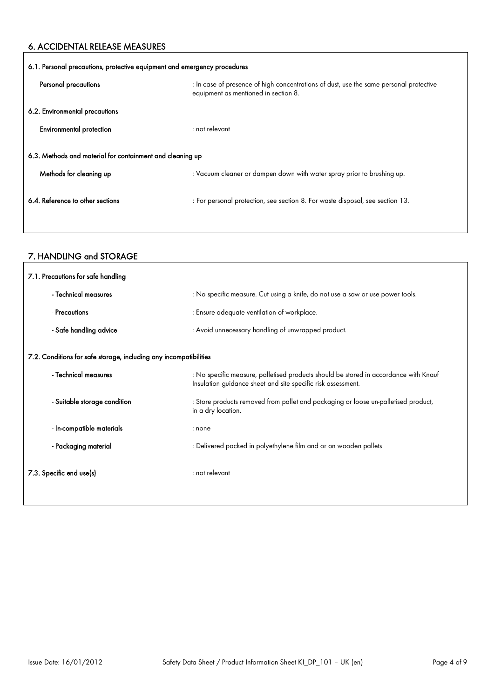### 6. ACCIDENTAL RELEASE MEASURES

| 6.1. Personal precautions, protective equipment and emergency procedures |                                                                                                                                |  |
|--------------------------------------------------------------------------|--------------------------------------------------------------------------------------------------------------------------------|--|
| Personal precautions                                                     | : In case of presence of high concentrations of dust, use the same personal protective<br>equipment as mentioned in section 8. |  |
| 6.2. Environmental precautions                                           |                                                                                                                                |  |
| <b>Environmental protection</b>                                          | $:$ not relevant                                                                                                               |  |
| 6.3. Methods and material for containment and cleaning up                |                                                                                                                                |  |
| Methods for cleaning up                                                  | : Vacuum cleaner or dampen down with water spray prior to brushing up.                                                         |  |
| 6.4. Reference to other sections                                         | : For personal protection, see section 8. For waste disposal, see section 13.                                                  |  |
|                                                                          |                                                                                                                                |  |

### 7. HANDLING and STORAGE

 $\overline{1}$ 

| 7.1. Precautions for safe handling                                |                                                                                                                                                      |  |
|-------------------------------------------------------------------|------------------------------------------------------------------------------------------------------------------------------------------------------|--|
| - Technical measures                                              | : No specific measure. Cut using a knife, do not use a saw or use power tools.                                                                       |  |
| - Precautions                                                     | : Ensure adequate ventilation of workplace.                                                                                                          |  |
| - Safe handling advice                                            | : Avoid unnecessary handling of unwrapped product.                                                                                                   |  |
| 7.2. Conditions for safe storage, including any incompatibilities |                                                                                                                                                      |  |
| - Technical measures                                              | : No specific measure, palletised products should be stored in accordance with Knauf<br>Insulation guidance sheet and site specific risk assessment. |  |
| - Suitable storage condition                                      | : Store products removed from pallet and packaging or loose un-palletised product,<br>in a dry location.                                             |  |
| - In-compatible materials                                         | : none                                                                                                                                               |  |
| - Packaging material                                              | : Delivered packed in polyethylene film and or on wooden pallets                                                                                     |  |
| 7.3. Specific end use(s)                                          | : not relevant                                                                                                                                       |  |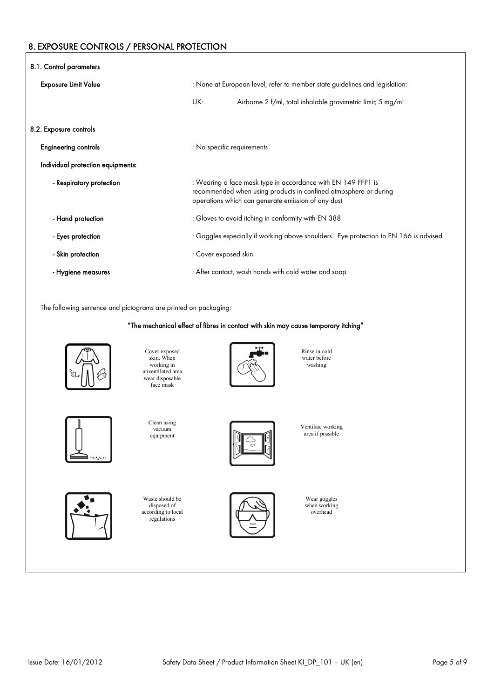### 8. EXPOSURE CONTROLS / PERSONAL PROTECTION

| 8.1. Control parameters           |                                                                              |                                                                                                                                                                                        |
|-----------------------------------|------------------------------------------------------------------------------|----------------------------------------------------------------------------------------------------------------------------------------------------------------------------------------|
| <b>Exposure Limit Value</b>       | : None at European level, refer to member state guidelines and legislation:- |                                                                                                                                                                                        |
|                                   | UK:                                                                          | Airborne 2 f/ml, total inhalable gravimetric limit; 5 mg/m <sup>3</sup>                                                                                                                |
| 8.2. Exposure controls            |                                                                              |                                                                                                                                                                                        |
| <b>Engineering controls</b>       | : No specific requirements                                                   |                                                                                                                                                                                        |
| Individual protection equipments: |                                                                              |                                                                                                                                                                                        |
| - Respiratory protection          |                                                                              | : Wearing a face mask type in accordance with EN 149 FFP1 is<br>recommended when using products in confined atmosphere or during<br>operations which can generate emission of any dust |
| - Hand protection                 |                                                                              | : Gloves to avoid itching in conformity with EN 388                                                                                                                                    |
| - Eyes protection                 |                                                                              | : Goggles especially if working above shoulders. Eye protection to EN 166 is advised                                                                                                   |
| - Skin protection                 | : Cover exposed skin.                                                        |                                                                                                                                                                                        |
| - Hygiene measures                |                                                                              | : After contact, wash hands with cold water and soap                                                                                                                                   |

The following sentence and pictograms are printed on packaging:

"The mechanical effect of fibres in contact with skin may cause temporary itching"

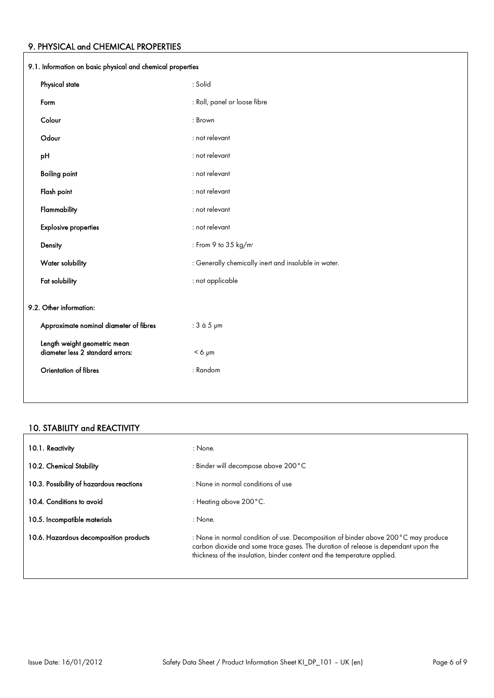### 9. PHYSICAL and CHEMICAL PROPERTIES

| 9.1. Information on basic physical and chemical properties       |                                                      |  |
|------------------------------------------------------------------|------------------------------------------------------|--|
| Physical state                                                   | : Solid                                              |  |
| Form                                                             | : Roll, panel or loose fibre                         |  |
| Colour                                                           | : Brown                                              |  |
| Odour                                                            | : not relevant                                       |  |
| pH                                                               | : not relevant                                       |  |
| <b>Boiling point</b>                                             | : not relevant                                       |  |
| Flash point                                                      | : not relevant                                       |  |
| Flammability                                                     | : not relevant                                       |  |
| <b>Explosive properties</b>                                      | : not relevant                                       |  |
| Density                                                          | : From 9 to 35 kg/m <sup>3</sup>                     |  |
| Water solubility                                                 | : Generally chemically inert and insoluble in water. |  |
| Fat solubility                                                   | : not applicable                                     |  |
| 9.2. Other information:                                          |                                                      |  |
| Approximate nominal diameter of fibres                           | : 3 à 5 µm                                           |  |
| Length weight geometric mean<br>diameter less 2 standard errors: | $< 6 \mu m$                                          |  |
| Orientation of fibres                                            | : Random                                             |  |
|                                                                  |                                                      |  |

### 10. STABILITY and REACTIVITY

| 10.1. Reactivity                         | : None.                                                                                                                                                                                                                                              |
|------------------------------------------|------------------------------------------------------------------------------------------------------------------------------------------------------------------------------------------------------------------------------------------------------|
| 10.2. Chemical Stability                 | : Binder will decompose above 200 °C                                                                                                                                                                                                                 |
| 10.3. Possibility of hazardous reactions | : None in normal conditions of use                                                                                                                                                                                                                   |
| 10.4. Conditions to avoid                | : Heating above $200^{\circ}$ C.                                                                                                                                                                                                                     |
| 10.5. Incompatible materials             | : None.                                                                                                                                                                                                                                              |
| 10.6. Hazardous decomposition products   | : None in normal condition of use. Decomposition of binder above 200°C may produce<br>carbon dioxide and some trace gases. The duration of release is dependant upon the<br>thickness of the insulation, binder content and the temperature applied. |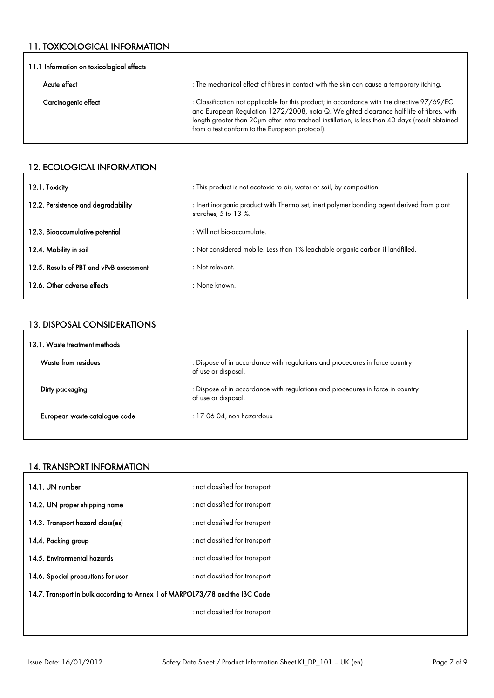### 11. TOXICOLOGICAL INFORMATION

| 11.1 Information on toxicological effects |                                                                                                                                                                                                                                                                                                                                               |  |
|-------------------------------------------|-----------------------------------------------------------------------------------------------------------------------------------------------------------------------------------------------------------------------------------------------------------------------------------------------------------------------------------------------|--|
| Acute effect                              | : The mechanical effect of fibres in contact with the skin can cause a temporary itching.                                                                                                                                                                                                                                                     |  |
| Carcinogenic effect                       | : Classification not applicable for this product; in accordance with the directive 97/69/EC<br>and European Regulation 1272/2008, nota Q. Weighted clearance half life of fibres, with<br>length greater than 20pm after intra-tracheal instillation, is less than 40 days (result obtained<br>from a test conform to the European protocol). |  |

### 12. ECOLOGICAL INFORMATION

| 12.1. Toxicity                           | : This product is not ecotoxic to air, water or soil, by composition.                                               |
|------------------------------------------|---------------------------------------------------------------------------------------------------------------------|
| 12.2. Persistence and degradability      | : Inert inorganic product with Thermo set, inert polymer bonding agent derived from plant<br>starches; $5$ to 13 %. |
| 12.3. Bioaccumulative potential          | : Will not bio-accumulate.                                                                                          |
| 12.4. Mobility in soil                   | : Not considered mobile. Less than 1% leachable organic carbon if landfilled.                                       |
| 12.5. Results of PBT and vPvB assessment | $:$ Not relevant.                                                                                                   |
| 12.6. Other adverse effects              | : None known.                                                                                                       |

#### 13. DISPOSAL CONSIDERATIONS

| 13.1. Waste treatment methods |                                                                                                       |  |
|-------------------------------|-------------------------------------------------------------------------------------------------------|--|
| Waste from residues           | : Dispose of in accordance with regulations and procedures in force country<br>of use or disposal.    |  |
| Dirty packaging               | : Dispose of in accordance with regulations and procedures in force in country<br>of use or disposal. |  |
| European waste catalogue code | : 17 06 04, non hazardous.                                                                            |  |
|                               |                                                                                                       |  |

### 14. TRANSPORT INFORMATION

| 14.1. UN number                                                               | : not classified for transport |
|-------------------------------------------------------------------------------|--------------------------------|
| 14.2. UN proper shipping name                                                 | : not classified for transport |
| 14.3. Transport hazard class(es)                                              | : not classified for transport |
| 14.4. Packing group                                                           | : not classified for transport |
| 14.5. Environmental hazards                                                   | : not classified for transport |
| 14.6. Special precautions for user                                            | : not classified for transport |
| 14.7. Transport in bulk according to Annex II of MARPOL73/78 and the IBC Code |                                |
|                                                                               | : not classified for transport |
|                                                                               |                                |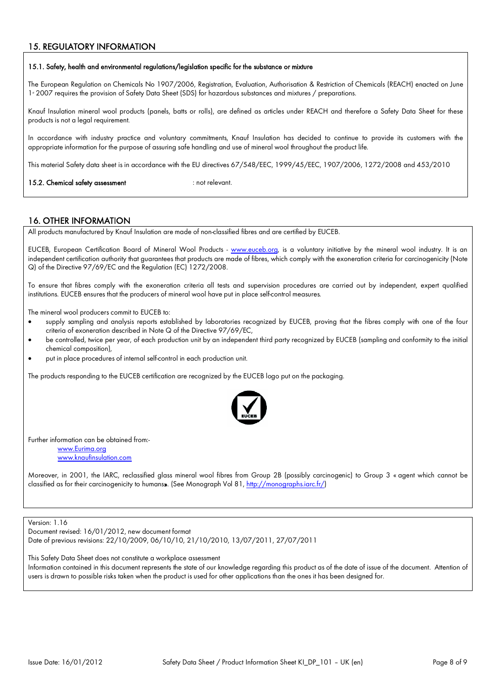### 15. REGULATORY INFORMATION

#### 15.1. Safety, health and environmental regulations/legislation specific for the substance or mixture

The European Regulation on Chemicals No 1907/2006, Registration, Evaluation, Authorisation & Restriction of Chemicals (REACH) enacted on June 1<sup>s</sup> 2007 requires the provision of Safety Data Sheet (SDS) for hazardous substances and mixtures / preparations.

Knauf Insulation mineral wool products (panels, batts or rolls), are defined as articles under REACH and therefore a Safety Data Sheet for these products is not a legal requirement.

In accordance with industry practice and voluntary commitments, Knauf Insulation has decided to continue to provide its customers with the appropriate information for the purpose of assuring safe handling and use of mineral wool throughout the product life.

This material Safety data sheet is in accordance with the EU directives 67/548/EEC, 1999/45/EEC, 1907/2006, 1272/2008 and 453/2010

15.2. Chemical safety assessment : not relevant.

#### 16. OTHER INFORMATION

All products manufactured by Knauf Insulation are made of non-classified fibres and are certified by EUCEB.

EUCEB, European Certification Board of Mineral Wool Products - [www.euceb.org,](http://www.euceb.org/) is a voluntary initiative by the mineral wool industry. It is an independent certification authority that guarantees that products are made of fibres, which comply with the exoneration criteria for carcinogenicity (Note Q) of the Directive 97/69/EC and the Regulation (EC) 1272/2008.

To ensure that fibres comply with the exoneration criteria all tests and supervision procedures are carried out by independent, expert qualified institutions. EUCEB ensures that the producers of mineral wool have put in place self-control measures.

The mineral wool producers commit to EUCEB to:

- supply sampling and analysis reports established by laboratories recognized by EUCEB, proving that the fibres comply with one of the four criteria of exoneration described in Note Q of the Directive 97/69/EC,
- be controlled, twice per year, of each production unit by an independent third party recognized by EUCEB (sampling and conformity to the initial chemical composition),
- put in place procedures of internal self-control in each production unit.

The products responding to the EUCEB certification are recognized by the EUCEB logo put on the packaging.



Further information can be obtained from:-

[www.Eurima.org](http://www.Eurima.org/) [www.knaufinsulation.com](http://www.knaufinsulation.com/)

Moreover, in 2001, the IARC, reclassified glass mineral wool fibres from Group 2B (possibly carcinogenic) to Group 3 « agent which cannot be classified as for their carcinogenicity to humans». (See Monograph Vol 81, [http://monographs.iarc.fr/\)](http://monographs.iarc.fr/))

Version: 1.16

Document revised: 16/01/2012, new document format Date of previous revisions: 22/10/2009, 06/10/10, 21/10/2010, 13/07/2011, 27/07/2011

This Safety Data Sheet does not constitute a workplace assessment

Information contained in this document represents the state of our knowledge regarding this product as of the date of issue of the document. Attention of users is drawn to possible risks taken when the product is used for other applications than the ones it has been designed for.